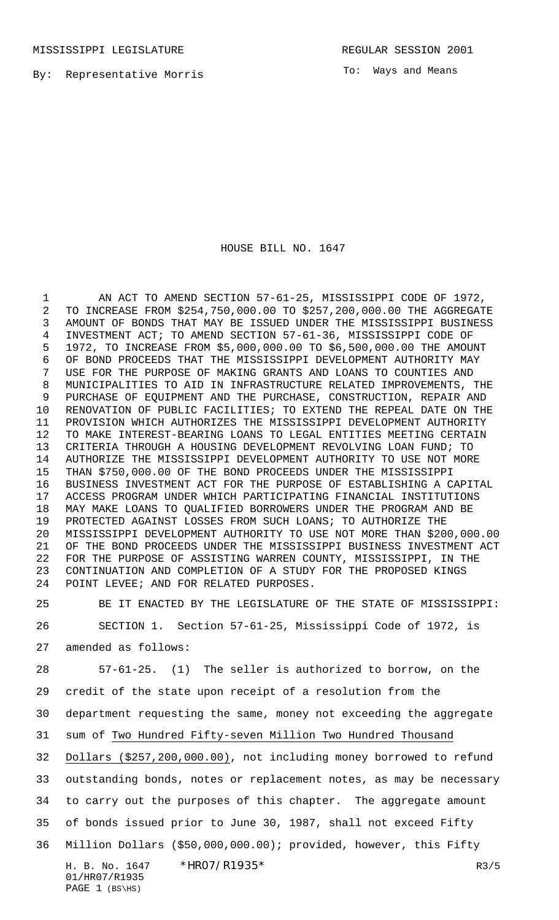MISSISSIPPI LEGISLATURE **REGULAR SESSION 2001** 

By: Representative Morris

To: Ways and Means

HOUSE BILL NO. 1647

 AN ACT TO AMEND SECTION 57-61-25, MISSISSIPPI CODE OF 1972, TO INCREASE FROM \$254,750,000.00 TO \$257,200,000.00 THE AGGREGATE AMOUNT OF BONDS THAT MAY BE ISSUED UNDER THE MISSISSIPPI BUSINESS INVESTMENT ACT; TO AMEND SECTION 57-61-36, MISSISSIPPI CODE OF 1972, TO INCREASE FROM \$5,000,000.00 TO \$6,500,000.00 THE AMOUNT OF BOND PROCEEDS THAT THE MISSISSIPPI DEVELOPMENT AUTHORITY MAY USE FOR THE PURPOSE OF MAKING GRANTS AND LOANS TO COUNTIES AND MUNICIPALITIES TO AID IN INFRASTRUCTURE RELATED IMPROVEMENTS, THE PURCHASE OF EQUIPMENT AND THE PURCHASE, CONSTRUCTION, REPAIR AND RENOVATION OF PUBLIC FACILITIES; TO EXTEND THE REPEAL DATE ON THE PROVISION WHICH AUTHORIZES THE MISSISSIPPI DEVELOPMENT AUTHORITY TO MAKE INTEREST-BEARING LOANS TO LEGAL ENTITIES MEETING CERTAIN CRITERIA THROUGH A HOUSING DEVELOPMENT REVOLVING LOAN FUND; TO AUTHORIZE THE MISSISSIPPI DEVELOPMENT AUTHORITY TO USE NOT MORE THAN \$750,000.00 OF THE BOND PROCEEDS UNDER THE MISSISSIPPI BUSINESS INVESTMENT ACT FOR THE PURPOSE OF ESTABLISHING A CAPITAL ACCESS PROGRAM UNDER WHICH PARTICIPATING FINANCIAL INSTITUTIONS MAY MAKE LOANS TO QUALIFIED BORROWERS UNDER THE PROGRAM AND BE PROTECTED AGAINST LOSSES FROM SUCH LOANS; TO AUTHORIZE THE MISSISSIPPI DEVELOPMENT AUTHORITY TO USE NOT MORE THAN \$200,000.00 OF THE BOND PROCEEDS UNDER THE MISSISSIPPI BUSINESS INVESTMENT ACT FOR THE PURPOSE OF ASSISTING WARREN COUNTY, MISSISSIPPI, IN THE CONTINUATION AND COMPLETION OF A STUDY FOR THE PROPOSED KINGS POINT LEVEE; AND FOR RELATED PURPOSES.

 BE IT ENACTED BY THE LEGISLATURE OF THE STATE OF MISSISSIPPI: SECTION 1. Section 57-61-25, Mississippi Code of 1972, is amended as follows:

57-61-25. (1) The seller is authorized to borrow, on the

credit of the state upon receipt of a resolution from the

department requesting the same, money not exceeding the aggregate

sum of Two Hundred Fifty-seven Million Two Hundred Thousand

Dollars (\$257,200,000.00), not including money borrowed to refund

outstanding bonds, notes or replacement notes, as may be necessary

to carry out the purposes of this chapter. The aggregate amount

of bonds issued prior to June 30, 1987, shall not exceed Fifty

Million Dollars (\$50,000,000.00); provided, however, this Fifty

H. B. No. 1647 \* HRO7/R1935\* R3/5 01/HR07/R1935 PAGE (BS\HS)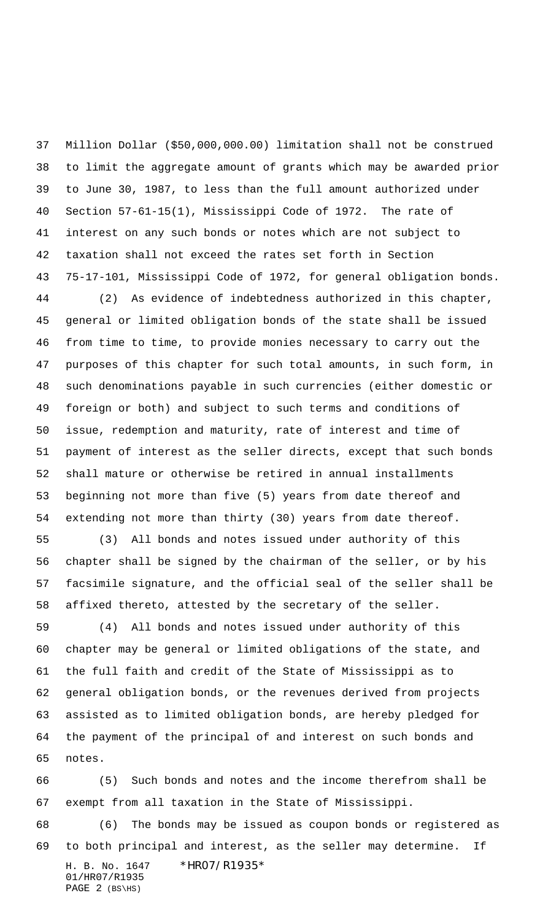Million Dollar (\$50,000,000.00) limitation shall not be construed to limit the aggregate amount of grants which may be awarded prior to June 30, 1987, to less than the full amount authorized under Section 57-61-15(1), Mississippi Code of 1972. The rate of interest on any such bonds or notes which are not subject to taxation shall not exceed the rates set forth in Section 75-17-101, Mississippi Code of 1972, for general obligation bonds.

 (2) As evidence of indebtedness authorized in this chapter, general or limited obligation bonds of the state shall be issued from time to time, to provide monies necessary to carry out the purposes of this chapter for such total amounts, in such form, in such denominations payable in such currencies (either domestic or foreign or both) and subject to such terms and conditions of issue, redemption and maturity, rate of interest and time of payment of interest as the seller directs, except that such bonds shall mature or otherwise be retired in annual installments beginning not more than five (5) years from date thereof and extending not more than thirty (30) years from date thereof.

 (3) All bonds and notes issued under authority of this chapter shall be signed by the chairman of the seller, or by his facsimile signature, and the official seal of the seller shall be affixed thereto, attested by the secretary of the seller.

 (4) All bonds and notes issued under authority of this chapter may be general or limited obligations of the state, and the full faith and credit of the State of Mississippi as to general obligation bonds, or the revenues derived from projects assisted as to limited obligation bonds, are hereby pledged for the payment of the principal of and interest on such bonds and notes.

 (5) Such bonds and notes and the income therefrom shall be exempt from all taxation in the State of Mississippi.

H. B. No. 1647 \*HR07/R1935\* 01/HR07/R1935 (6) The bonds may be issued as coupon bonds or registered as to both principal and interest, as the seller may determine. If

```
PAGE 2 (BS\HS)
```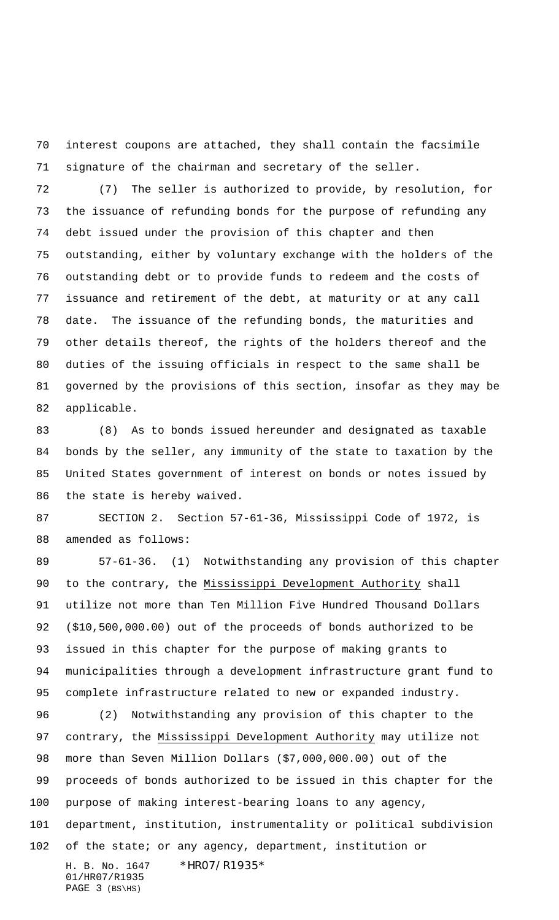interest coupons are attached, they shall contain the facsimile signature of the chairman and secretary of the seller.

 (7) The seller is authorized to provide, by resolution, for the issuance of refunding bonds for the purpose of refunding any debt issued under the provision of this chapter and then outstanding, either by voluntary exchange with the holders of the outstanding debt or to provide funds to redeem and the costs of issuance and retirement of the debt, at maturity or at any call date. The issuance of the refunding bonds, the maturities and other details thereof, the rights of the holders thereof and the duties of the issuing officials in respect to the same shall be governed by the provisions of this section, insofar as they may be applicable.

 (8) As to bonds issued hereunder and designated as taxable bonds by the seller, any immunity of the state to taxation by the United States government of interest on bonds or notes issued by the state is hereby waived.

 SECTION 2. Section 57-61-36, Mississippi Code of 1972, is amended as follows:

 57-61-36. (1) Notwithstanding any provision of this chapter to the contrary, the Mississippi Development Authority shall utilize not more than Ten Million Five Hundred Thousand Dollars (\$10,500,000.00) out of the proceeds of bonds authorized to be issued in this chapter for the purpose of making grants to municipalities through a development infrastructure grant fund to complete infrastructure related to new or expanded industry.

H. B. No. 1647 \*HR07/R1935\* 01/HR07/R1935 PAGE 3 (BS\HS) (2) Notwithstanding any provision of this chapter to the contrary, the Mississippi Development Authority may utilize not more than Seven Million Dollars (\$7,000,000.00) out of the proceeds of bonds authorized to be issued in this chapter for the purpose of making interest-bearing loans to any agency, department, institution, instrumentality or political subdivision of the state; or any agency, department, institution or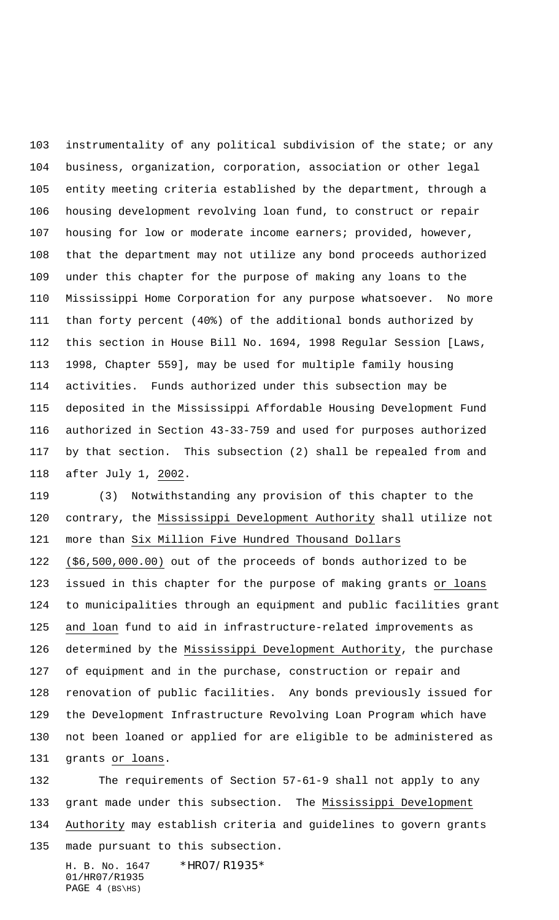instrumentality of any political subdivision of the state; or any business, organization, corporation, association or other legal entity meeting criteria established by the department, through a housing development revolving loan fund, to construct or repair housing for low or moderate income earners; provided, however, that the department may not utilize any bond proceeds authorized under this chapter for the purpose of making any loans to the Mississippi Home Corporation for any purpose whatsoever. No more than forty percent (40%) of the additional bonds authorized by this section in House Bill No. 1694, 1998 Regular Session [Laws, 1998, Chapter 559], may be used for multiple family housing activities. Funds authorized under this subsection may be deposited in the Mississippi Affordable Housing Development Fund authorized in Section 43-33-759 and used for purposes authorized by that section. This subsection (2) shall be repealed from and after July 1, 2002.

 (3) Notwithstanding any provision of this chapter to the 120 contrary, the Mississippi Development Authority shall utilize not more than Six Million Five Hundred Thousand Dollars (\$6,500,000.00) out of the proceeds of bonds authorized to be issued in this chapter for the purpose of making grants or loans to municipalities through an equipment and public facilities grant and loan fund to aid in infrastructure-related improvements as determined by the Mississippi Development Authority, the purchase of equipment and in the purchase, construction or repair and renovation of public facilities. Any bonds previously issued for the Development Infrastructure Revolving Loan Program which have not been loaned or applied for are eligible to be administered as grants or loans.

 The requirements of Section 57-61-9 shall not apply to any grant made under this subsection. The Mississippi Development Authority may establish criteria and guidelines to govern grants made pursuant to this subsection.

H. B. No. 1647 \*HR07/R1935\* 01/HR07/R1935 PAGE (BS\HS)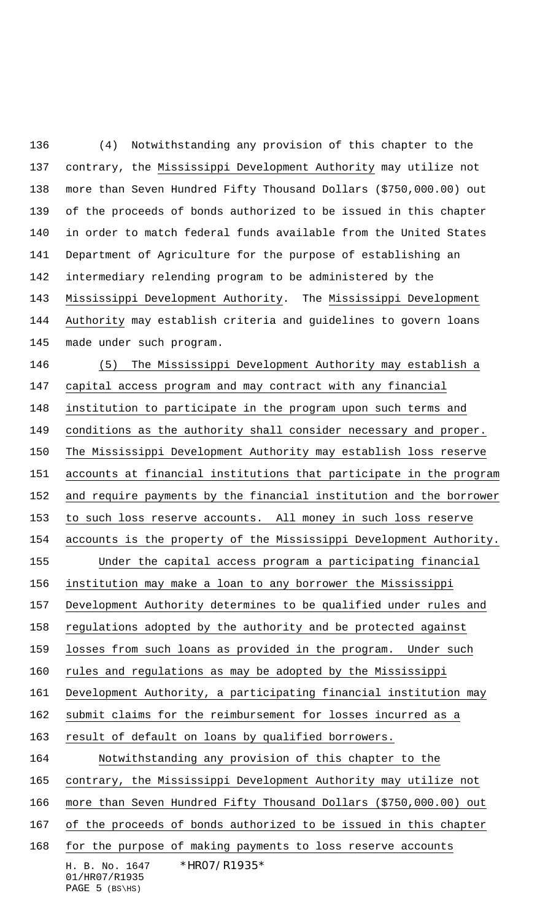(4) Notwithstanding any provision of this chapter to the contrary, the Mississippi Development Authority may utilize not more than Seven Hundred Fifty Thousand Dollars (\$750,000.00) out of the proceeds of bonds authorized to be issued in this chapter in order to match federal funds available from the United States Department of Agriculture for the purpose of establishing an intermediary relending program to be administered by the Mississippi Development Authority. The Mississippi Development Authority may establish criteria and guidelines to govern loans made under such program.

H. B. No. 1647 \*HR07/R1935\* 01/HR07/R1935 (5) The Mississippi Development Authority may establish a capital access program and may contract with any financial institution to participate in the program upon such terms and conditions as the authority shall consider necessary and proper. The Mississippi Development Authority may establish loss reserve accounts at financial institutions that participate in the program and require payments by the financial institution and the borrower to such loss reserve accounts. All money in such loss reserve accounts is the property of the Mississippi Development Authority. Under the capital access program a participating financial institution may make a loan to any borrower the Mississippi Development Authority determines to be qualified under rules and regulations adopted by the authority and be protected against losses from such loans as provided in the program. Under such 160 rules and regulations as may be adopted by the Mississippi Development Authority, a participating financial institution may submit claims for the reimbursement for losses incurred as a result of default on loans by qualified borrowers. Notwithstanding any provision of this chapter to the contrary, the Mississippi Development Authority may utilize not more than Seven Hundred Fifty Thousand Dollars (\$750,000.00) out of the proceeds of bonds authorized to be issued in this chapter for the purpose of making payments to loss reserve accounts

## PAGE (BS\HS)